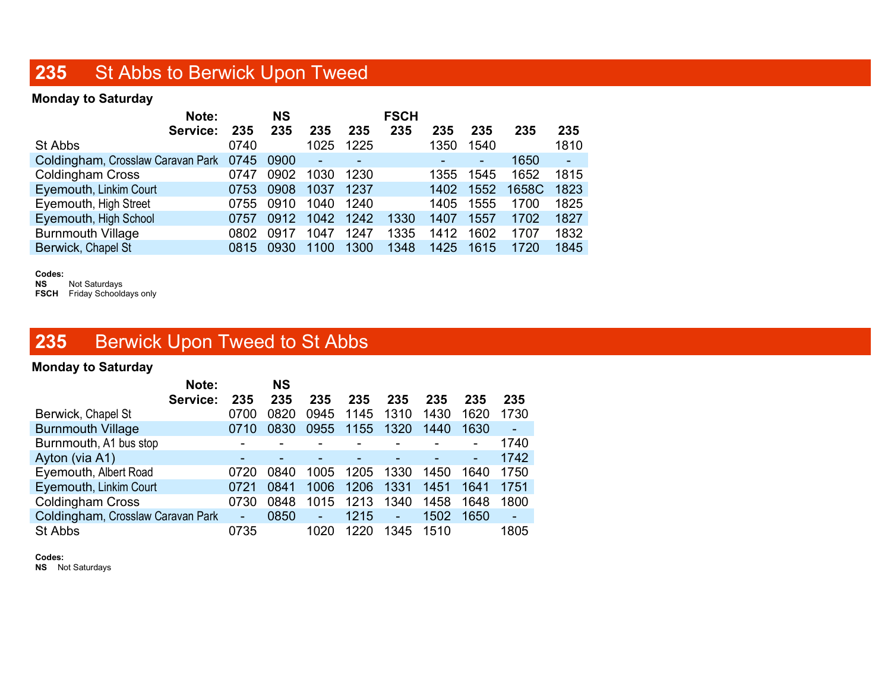## 235 St Abbs to Berwick Upon Tweed

#### Monday to Saturday

| Note:                                  |      | <b>NS</b> |                |      | <b>FSCH</b> |      |                |       |              |
|----------------------------------------|------|-----------|----------------|------|-------------|------|----------------|-------|--------------|
| Service:                               | 235  | 235       | 235            | 235  | 235         | 235  | 235            | 235   | 235          |
| St Abbs                                | 0740 |           | 1025           | 1225 |             | 1350 | 1540           |       | 1810         |
| Coldingham, Crosslaw Caravan Park 0745 |      | 0900      | $\blacksquare$ |      |             |      | $\blacksquare$ | 1650  | $\mathbf{r}$ |
| <b>Coldingham Cross</b>                | 0747 | 0902      | 1030           | 1230 |             | 1355 | 1545           | 1652  | 1815         |
| Eyemouth, Linkim Court                 | 0753 | 0908      | 1037           | 1237 |             | 1402 | 1552           | 1658C | 1823         |
| Eyemouth, High Street                  | 0755 | 0910      | 1040           | 1240 |             | 1405 | 1555           | 1700  | 1825         |
| Eyemouth, High School                  | 0757 | 0912      | 1042           | 1242 | 1330        | 1407 | 1557           | 1702  | 1827         |
| <b>Burnmouth Village</b>               | 0802 | 0917      | 1047           | 1247 | 1335        | 1412 | 1602           | 1707  | 1832         |
| Berwick, Chapel St                     | 0815 | 0930      | 1100           | 1300 | 1348        | 1425 | 1615           | 1720  | 1845         |
|                                        |      |           |                |      |             |      |                |       |              |

Codes:<br>NS

Not Saturdays FSCH Friday Schooldays only

## 235 Berwick Upon Tweed to St Abbs

#### Monday to Saturday

|                                   | Note:    |                | <b>NS</b> |      |      |                |      |      |      |
|-----------------------------------|----------|----------------|-----------|------|------|----------------|------|------|------|
|                                   | Service: | 235            | 235       | 235  | 235  | 235            | 235  | 235  | 235  |
| Berwick, Chapel St                |          | 0700           | 0820      | 0945 | 1145 | 1310           | 1430 | 1620 | 1730 |
| <b>Burnmouth Village</b>          |          | 0710           | 0830      | 0955 | 1155 | 1320           | 1440 | 1630 |      |
| Burnmouth, A1 bus stop            |          |                |           |      |      |                |      |      | 1740 |
| Ayton (via A1)                    |          | ۰              |           |      |      |                |      | ۰    | 1742 |
| Eyemouth, Albert Road             |          | 0720           | 0840      | 1005 | 1205 | 1330           | 1450 | 1640 | 1750 |
| Eyemouth, Linkim Court            |          | 0721           | 0841      | 1006 | 1206 | 1331           | 1451 | 1641 | 1751 |
| <b>Coldingham Cross</b>           |          | 0730           | 0848      | 1015 | 1213 | 1340           | 1458 | 1648 | 1800 |
| Coldingham, Crosslaw Caravan Park |          | $\blacksquare$ | 0850      | ÷    | 1215 | $\blacksquare$ | 1502 | 1650 |      |
| St Abbs                           |          | 0735           |           | 1020 | 1220 | 1345           | 1510 |      | 1805 |

Codes:

NS Not Saturdays